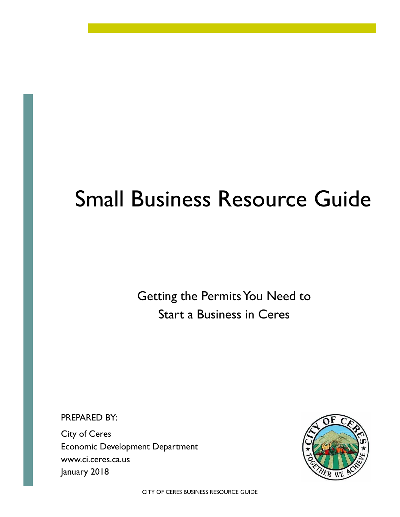# Small Business Resource Guide

Getting the Permits You Need to Start a Business in Ceres

PREPARED BY:

City of Ceres Economic Development Department www.ci.ceres.ca.us January 2018

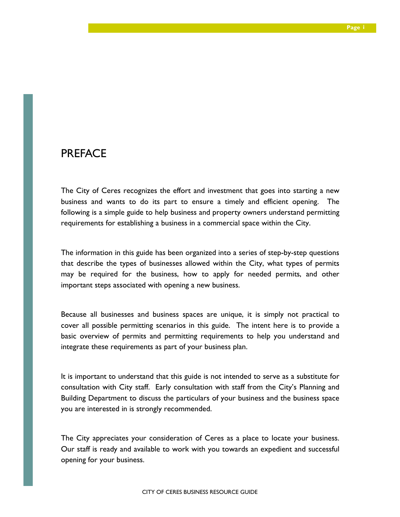### PREFACE

The City of Ceres recognizes the effort and investment that goes into starting a new business and wants to do its part to ensure a timely and efficient opening. The following is a simple guide to help business and property owners understand permitting requirements for establishing a business in a commercial space within the City.

The information in this guide has been organized into a series of step-by-step questions that describe the types of businesses allowed within the City, what types of permits may be required for the business, how to apply for needed permits, and other important steps associated with opening a new business.

Because all businesses and business spaces are unique, it is simply not practical to cover all possible permitting scenarios in this guide. The intent here is to provide a basic overview of permits and permitting requirements to help you understand and integrate these requirements as part of your business plan.

It is important to understand that this guide is not intended to serve as a substitute for consultation with City staff. Early consultation with staff from the City's Planning and Building Department to discuss the particulars of your business and the business space you are interested in is strongly recommended.

The City appreciates your consideration of Ceres as a place to locate your business. Our staff is ready and available to work with you towards an expedient and successful opening for your business.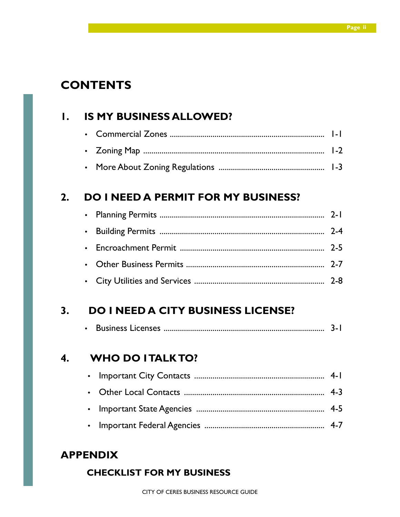## **CONTENTS**

### **1. IS MY BUSINESS ALLOWED?**

### **2. DO I NEED A PERMIT FOR MY BUSINESS?**

### **3. DO I NEED A CITY BUSINESS LICENSE?**

|--|--|--|--|--|

### **4. WHO DO I TALK TO?**

### **APPENDIX**

### **CHECKLIST FOR MY BUSINESS**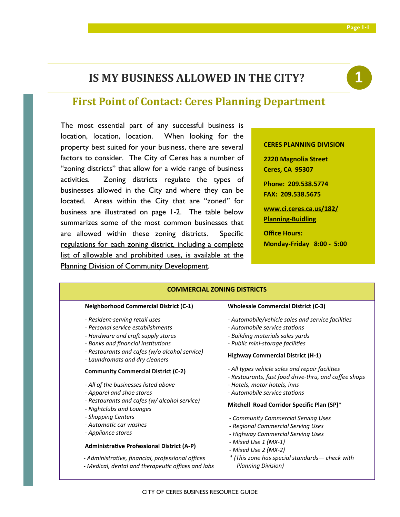### **IS MY BUSINESS ALLOWED IN THE CITY?**



### **First Point of Contact: Ceres Planning Department**

The most essential part of any successful business is location, location, location. When looking for the property best suited for your business, there are several factors to consider. The City of Ceres has a number of "zoning districts" that allow for a wide range of business activities. Zoning districts regulate the types of businesses allowed in the City and where they can be located. Areas within the City that are "zoned" for business are illustrated on page 1-2. The table below summarizes some of the most common businesses that are allowed within these zoning districts. Specific regulations for each zoning district, including a complete list of allowable and prohibited uses, is available at the Planning Division of Community Development.

#### **CERES PLANNING DIVISION**

**2220 Magnolia Street Ceres, CA 95307 Phone: 209.538.5774 FAX: 209.538.5675 www.ci.ceres.ca.us/182/ Planning-Buidling Office Hours: Monday-Friday 8:00 - 5:00** 

| <b>COMMERCIAL ZONING DISTRICTS</b>                                                                                                                                                                                                                                                                                                                                                                                                                                                                                                                                                                                                                                      |                                                                                                                                                                                                                                                                                                                                                                                                                                                                                                                                                                                                                                                                                     |  |
|-------------------------------------------------------------------------------------------------------------------------------------------------------------------------------------------------------------------------------------------------------------------------------------------------------------------------------------------------------------------------------------------------------------------------------------------------------------------------------------------------------------------------------------------------------------------------------------------------------------------------------------------------------------------------|-------------------------------------------------------------------------------------------------------------------------------------------------------------------------------------------------------------------------------------------------------------------------------------------------------------------------------------------------------------------------------------------------------------------------------------------------------------------------------------------------------------------------------------------------------------------------------------------------------------------------------------------------------------------------------------|--|
| <b>Neighborhood Commercial District (C-1)</b>                                                                                                                                                                                                                                                                                                                                                                                                                                                                                                                                                                                                                           | <b>Wholesale Commercial District (C-3)</b>                                                                                                                                                                                                                                                                                                                                                                                                                                                                                                                                                                                                                                          |  |
| - Resident-serving retail uses<br>- Personal service establishments<br>- Hardware and craft supply stores<br>- Banks and financial institutions<br>- Restaurants and cafes (w/o alcohol service)<br>- Laundromats and dry cleaners<br><b>Community Commercial District (C-2)</b><br>- All of the businesses listed above<br>- Apparel and shoe stores<br>- Restaurants and cafes (w/ alcohol service)<br>- Nightclubs and Lounges<br>- Shopping Centers<br>- Automatic car washes<br>- Appliance stores<br><b>Administrative Professional District (A-P)</b><br>- Administrative, financial, professional offices<br>- Medical, dental and therapeutic offices and labs | - Automobile/vehicle sales and service facilities<br>- Automobile service stations<br>- Building materials sales yards<br>- Public mini-storage facilities<br><b>Highway Commercial District (H-1)</b><br>- All types vehicle sales and repair facilities<br>- Restaurants, fast food drive-thru, and coffee shops<br>- Hotels, motor hotels, inns<br>- Automobile service stations<br>Mitchell Road Corridor Specific Plan (SP)*<br>- Community Commercial Serving Uses<br>- Regional Commercial Serving Uses<br>- Highway Commercial Serving Uses<br>- Mixed Use 1 (MX-1)<br>- Mixed Use 2 (MX-2)<br>* (This zone has special standards - check with<br><b>Planning Division)</b> |  |
|                                                                                                                                                                                                                                                                                                                                                                                                                                                                                                                                                                                                                                                                         |                                                                                                                                                                                                                                                                                                                                                                                                                                                                                                                                                                                                                                                                                     |  |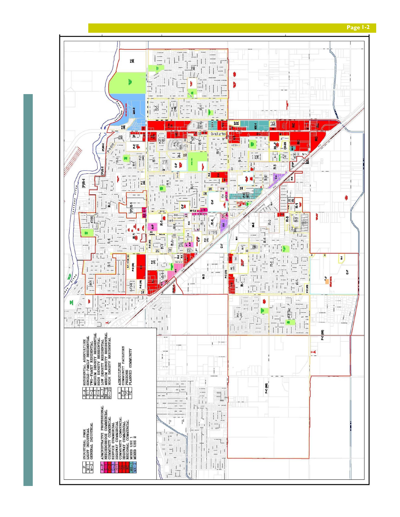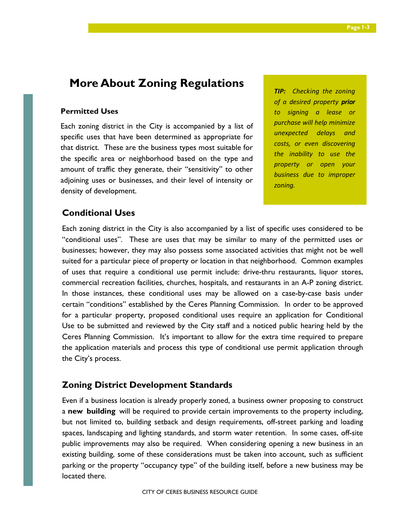### **More About Zoning Regulations**

### **Permitted Uses**

Each zoning district in the City is accompanied by a list of specific uses that have been determined as appropriate for that district. These are the business types most suitable for the specific area or neighborhood based on the type and amount of traffic they generate, their "sensitivity" to other adjoining uses or businesses, and their level of intensity or density of development.

*TIP: Checking the zoning of a desired property prior to signing a lease or purchase will help minimize unexpected delays and costs, or even discovering the inability to use the property or open your business due to improper zoning.* 

### **Conditional Uses**

Each zoning district in the City is also accompanied by a list of specific uses considered to be "conditional uses". These are uses that may be similar to many of the permitted uses or businesses; however, they may also possess some associated activities that might not be well suited for a particular piece of property or location in that neighborhood. Common examples of uses that require a conditional use permit include: drive-thru restaurants, liquor stores, commercial recreation facilities, churches, hospitals, and restaurants in an A-P zoning district. In those instances, these conditional uses may be allowed on a case-by-case basis under certain "conditions" established by the Ceres Planning Commission. In order to be approved for a particular property, proposed conditional uses require an application for Conditional Use to be submitted and reviewed by the City staff and a noticed public hearing held by the Ceres Planning Commission. It's important to allow for the extra time required to prepare the application materials and process this type of conditional use permit application through the City's process.

### **Zoning District Development Standards**

Even if a business location is already properly zoned, a business owner proposing to construct a **new building** will be required to provide certain improvements to the property including, but not limited to, building setback and design requirements, off-street parking and loading spaces, landscaping and lighting standards, and storm water retention. In some cases, off-site public improvements may also be required. When considering opening a new business in an existing building, some of these considerations must be taken into account, such as sufficient parking or the property "occupancy type" of the building itself, before a new business may be located there.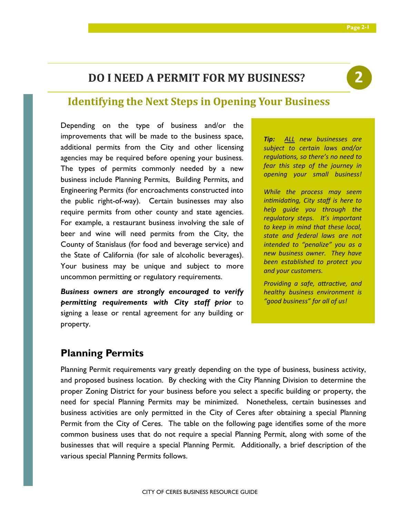### **DO I NEED A PERMIT FOR MY BUSINESS?**



### **Identifying the Next Steps in Opening Your Business**

Depending on the type of business and/or the improvements that will be made to the business space, additional permits from the City and other licensing agencies may be required before opening your business. The types of permits commonly needed by a new business include Planning Permits, Building Permits, and Engineering Permits (for encroachments constructed into the public right-of-way). Certain businesses may also require permits from other county and state agencies. For example, a restaurant business involving the sale of beer and wine will need permits from the City, the County of Stanislaus (for food and beverage service) and the State of California (for sale of alcoholic beverages). Your business may be unique and subject to more uncommon permitting or regulatory requirements.

*Business owners are strongly encouraged to verify permitting requirements with City staff prior* to signing a lease or rental agreement for any building or property.

*Tip: ALL new businesses are subject to certain laws and/or regulations, so there's no need to fear this step of the journey in opening your small business!* 

*While the process may seem intimidating, City staff is here to help guide you through the regulatory steps. It's important to keep in mind that these local, state and federal laws are not intended to "penalize" you as a new business owner. They have been established to protect you and your customers.* 

**Providing a safe, attractive, and** *healthy business environment is "good business" for all of us!* 

### **Planning Permits**

Planning Permit requirements vary greatly depending on the type of business, business activity, and proposed business location. By checking with the City Planning Division to determine the proper Zoning District for your business before you select a specific building or property, the need for special Planning Permits may be minimized. Nonetheless, certain businesses and business activities are only permitted in the City of Ceres after obtaining a special Planning Permit from the City of Ceres. The table on the following page identifies some of the more common business uses that do not require a special Planning Permit, along with some of the businesses that will require a special Planning Permit. Additionally, a brief description of the various special Planning Permits follows.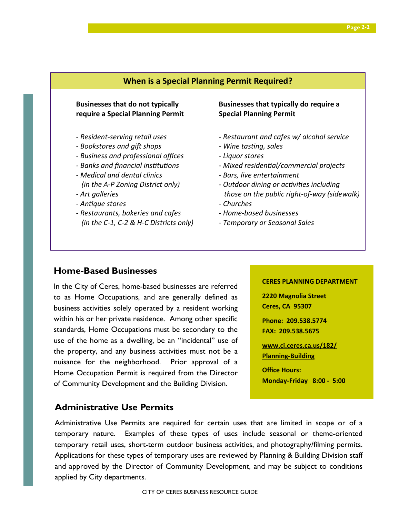| <b>When is a Special Planning Permit Required?</b> |                                             |  |
|----------------------------------------------------|---------------------------------------------|--|
| <b>Businesses that do not typically</b>            | Businesses that typically do require a      |  |
| require a Special Planning Permit                  | <b>Special Planning Permit</b>              |  |
| - Resident-serving retail uses                     | - Restaurant and cafes w/ alcohol service   |  |
| - Bookstores and gift shops                        | - Wine tasting, sales                       |  |
| - Business and professional offices                | - Liquor stores                             |  |
| - Banks and financial institutions                 | - Mixed residential/commercial projects     |  |
| - Medical and dental clinics                       | - Bars, live entertainment                  |  |
| (in the A-P Zoning District only)                  | - Outdoor dining or activities including    |  |
| - Art galleries                                    | those on the public right-of-way (sidewalk) |  |
| - Antique stores                                   | - Churches                                  |  |
| - Restaurants, bakeries and cafes                  | - Home-based businesses                     |  |
| (in the C-1, C-2 & H-C Districts only)             | - Temporary or Seasonal Sales               |  |

### **Home-Based Businesses**

In the City of Ceres, home-based businesses are referred to as Home Occupations, and are generally defined as business activities solely operated by a resident working within his or her private residence. Among other specific standards, Home Occupations must be secondary to the use of the home as a dwelling, be an "incidental" use of the property, and any business activities must not be a nuisance for the neighborhood. Prior approval of a Home Occupation Permit is required from the Director of Community Development and the Building Division.

### **CERES PLANNING DEPARTMENT**

**2220 Magnolia Street Ceres, CA 95307** 

**Phone: 209.538.5774 FAX: 209.538.5675** 

**www.ci.ceres.ca.us/182/ Planning-Building** 

**Office Hours: Monday-Friday 8:00 - 5:00** 

### **Administrative Use Permits**

Administrative Use Permits are required for certain uses that are limited in scope or of a temporary nature. Examples of these types of uses include seasonal or theme-oriented temporary retail uses, short-term outdoor business activities, and photography/filming permits. Applications for these types of temporary uses are reviewed by Planning & Building Division staff and approved by the Director of Community Development, and may be subject to conditions applied by City departments.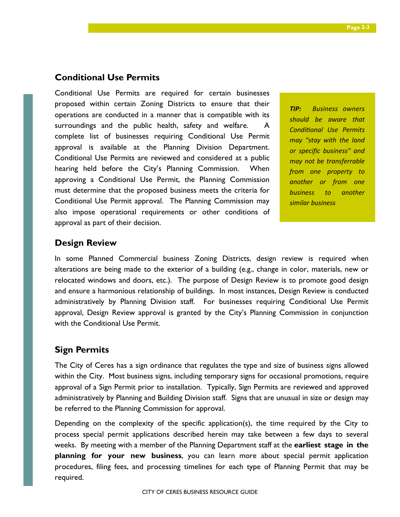### **Conditional Use Permits**

Conditional Use Permits are required for certain businesses proposed within certain Zoning Districts to ensure that their operations are conducted in a manner that is compatible with its surroundings and the public health, safety and welfare. A complete list of businesses requiring Conditional Use Permit approval is available at the Planning Division Department. Conditional Use Permits are reviewed and considered at a public hearing held before the City's Planning Commission. When approving a Conditional Use Permit, the Planning Commission must determine that the proposed business meets the criteria for Conditional Use Permit approval. The Planning Commission may also impose operational requirements or other conditions of approval as part of their decision.

*TIP: Business owners should be aware that*  **Conditional Use Permits** *may "stay with the land or specific business" and may not be transferrable from one property to another or from one business to another similar business* 

### **Design Review**

In some Planned Commercial business Zoning Districts, design review is required when alterations are being made to the exterior of a building (e.g., change in color, materials, new or relocated windows and doors, etc.). The purpose of Design Review is to promote good design and ensure a harmonious relationship of buildings. In most instances, Design Review is conducted administratively by Planning Division staff. For businesses requiring Conditional Use Permit approval, Design Review approval is granted by the City's Planning Commission in conjunction with the Conditional Use Permit.

### **Sign Permits**

The City of Ceres has a sign ordinance that regulates the type and size of business signs allowed within the City. Most business signs, including temporary signs for occasional promotions, require approval of a Sign Permit prior to installation. Typically, Sign Permits are reviewed and approved administratively by Planning and Building Division staff. Signs that are unusual in size or design may be referred to the Planning Commission for approval.

Depending on the complexity of the specific application(s), the time required by the City to process special permit applications described herein may take between a few days to several weeks. By meeting with a member of the Planning Department staff at the **earliest stage in the planning for your new business**, you can learn more about special permit application procedures, filing fees, and processing timelines for each type of Planning Permit that may be required.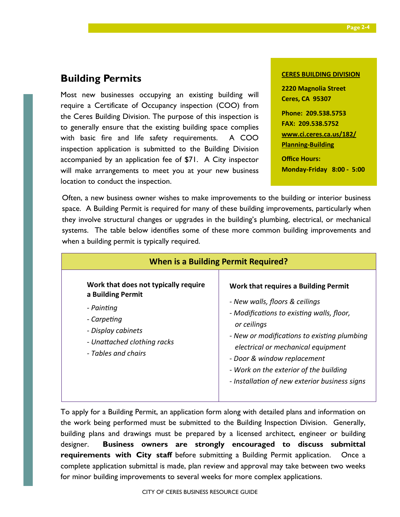### **Building Permits**

Most new businesses occupying an existing building will require a Certificate of Occupancy inspection (COO) from the Ceres Building Division. The purpose of this inspection is to generally ensure that the existing building space complies with basic fire and life safety requirements. A COO inspection application is submitted to the Building Division accompanied by an application fee of \$71. A City inspector will make arrangements to meet you at your new business location to conduct the inspection.

### **CERES BUILDING DIVISION**

**2220 Magnolia Street Ceres, CA 95307 Phone: 209.538.5753 FAX: 209.538.5752 www.ci.ceres.ca.us/182/ Planning-Building Office Hours: Monday-Friday 8:00 - 5:00** 

Often, a new business owner wishes to make improvements to the building or interior business space. A Building Permit is required for many of these building improvements, particularly when they involve structural changes or upgrades in the building's plumbing, electrical, or mechanical systems. The table below identifies some of these more common building improvements and when a building permit is typically required.

| <b>When is a Building Permit Required?</b>                                                                                                                         |                                                                                                                                                                                                                                                                                                                                                   |  |
|--------------------------------------------------------------------------------------------------------------------------------------------------------------------|---------------------------------------------------------------------------------------------------------------------------------------------------------------------------------------------------------------------------------------------------------------------------------------------------------------------------------------------------|--|
| Work that does not typically require<br>a Building Permit<br>- Painting<br>- Carpeting<br>- Display cabinets<br>- Unattached clothing racks<br>- Tables and chairs | Work that requires a Building Permit<br>- New walls, floors & ceilings<br>- Modifications to existing walls, floor,<br>or ceilings<br>- New or modifications to existing plumbing<br>electrical or mechanical equipment<br>- Door & window replacement<br>- Work on the exterior of the building<br>- Installation of new exterior business signs |  |

To apply for a Building Permit, an application form along with detailed plans and information on the work being performed must be submitted to the Building Inspection Division. Generally, building plans and drawings must be prepared by a licensed architect, engineer or building designer. **Business owners are strongly encouraged to discuss submittal requirements with City staff** before submitting a Building Permit application. Once a complete application submittal is made, plan review and approval may take between two weeks for minor building improvements to several weeks for more complex applications.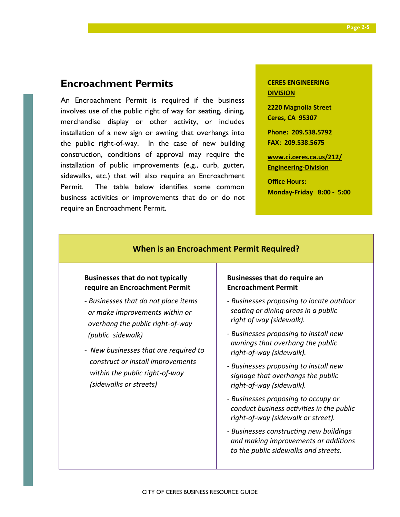### **Encroachment Permits**

An Encroachment Permit is required if the business involves use of the public right of way for seating, dining, merchandise display or other activity, or includes installation of a new sign or awning that overhangs into the public right-of-way. In the case of new building construction, conditions of approval may require the installation of public improvements (e.g., curb, gutter, sidewalks, etc.) that will also require an Encroachment Permit. The table below identifies some common business activities or improvements that do or do not require an Encroachment Permit.

### **CERES ENGINEERING DIVISION**

**2220 Magnolia Street Ceres, CA 95307** 

**Phone: 209.538.5792 FAX: 209.538.5675** 

**www.ci.ceres.ca.us/212/ Engineering-Division** 

**Office Hours:** 

**Monday-Friday 8:00 - 5:00** 

### **Businesses that do not typically require an Encroachment Permit**  *- Businesses that do not place items or make improvements within or overhang the public right-of-way (public sidewalk) - New businesses that are required to construct or install improvements within the public right-of-way (sidewalks or streets)*  **Businesses that do require an Encroachment Permit**  *- Businesses proposing to locate outdoor seating or dining areas in a public right of way (sidewalk). - Businesses proposing to install new awnings that overhang the public right-of-way (sidewalk). - Businesses proposing to install new signage that overhangs the public right-of-way (sidewalk). - Businesses proposing to occupy or conduct business activities in the public right-of-way (sidewalk or street).*  **When is an Encroachment Permit Required?**

### *- Businesses construcng new buildings and making improvements or addions to the public sidewalks and streets.*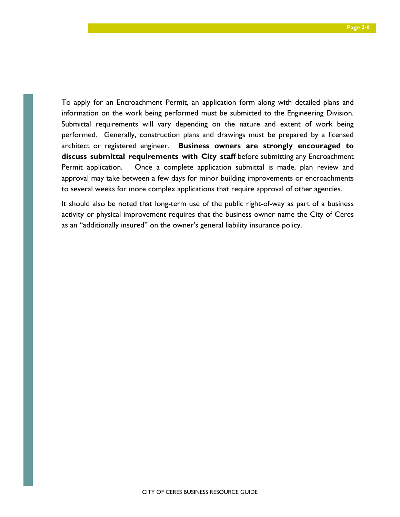To apply for an Encroachment Permit, an application form along with detailed plans and information on the work being performed must be submitted to the Engineering Division. Submittal requirements will vary depending on the nature and extent of work being performed. Generally, construction plans and drawings must be prepared by a licensed architect or registered engineer. **Business owners are strongly encouraged to discuss submittal requirements with City staff** before submitting any Encroachment Permit application. Once a complete application submittal is made, plan review and approval may take between a few days for minor building improvements or encroachments to several weeks for more complex applications that require approval of other agencies.

It should also be noted that long-term use of the public right-of-way as part of a business activity or physical improvement requires that the business owner name the City of Ceres as an "additionally insured" on the owner's general liability insurance policy.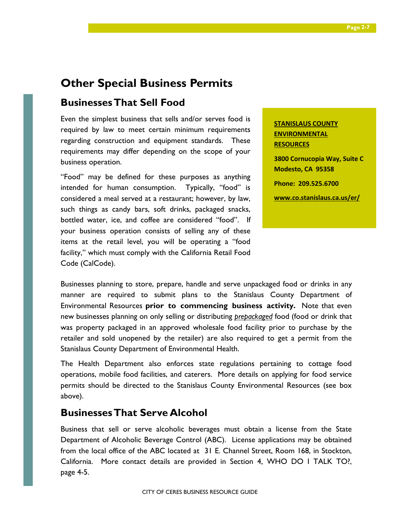### **Other Special Business Permits**

### **Businesses That Sell Food**

Even the simplest business that sells and/or serves food is required by law to meet certain minimum requirements regarding construction and equipment standards. These requirements may differ depending on the scope of your business operation.

"Food" may be defined for these purposes as anything intended for human consumption. Typically, "food" is considered a meal served at a restaurant; however, by law, such things as candy bars, soft drinks, packaged snacks, bottled water, ice, and coffee are considered "food". If your business operation consists of selling any of these items at the retail level, you will be operating a "food facility," which must comply with the California Retail Food Code (CalCode).

**STANISLAUS COUNTY ENVIRONMENTAL RESOURCES 3800 Cornucopia Way, Suite C Modesto, CA 95358 Phone: 209.525.6700 www.co.stanislaus.ca.us/er/**

Businesses planning to store, prepare, handle and serve unpackaged food or drinks in any manner are required to submit plans to the Stanislaus County Department of Environmental Resources **prior to commencing business activity.** Note that even new businesses planning on only selling or distributing *prepackaged* food (food or drink that was property packaged in an approved wholesale food facility prior to purchase by the retailer and sold unopened by the retailer) are also required to get a permit from the Stanislaus County Department of Environmental Health.

The Health Department also enforces state regulations pertaining to cottage food operations, mobile food facilities, and caterers. More details on applying for food service permits should be directed to the Stanislaus County Environmental Resources (see box above).

### **Businesses That Serve Alcohol**

Business that sell or serve alcoholic beverages must obtain a license from the State Department of Alcoholic Beverage Control (ABC). License applications may be obtained from the local office of the ABC located at 31 E. Channel Street, Room 168, in Stockton, California. More contact details are provided in Section 4, WHO DO I TALK TO?, page 4-5.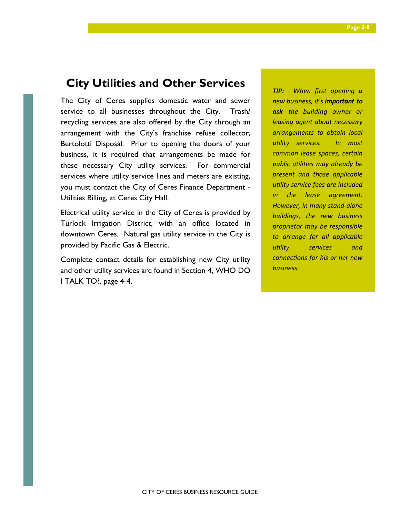### **City Utilities and Other Services**

The City of Ceres supplies domestic water and sewer service to all businesses throughout the City. Trash/ recycling services are also offered by the City through an arrangement with the City's franchise refuse collector, Bertolotti Disposal. Prior to opening the doors of your business, it is required that arrangements be made for these necessary City utility services. For commercial services where utility service lines and meters are existing, you must contact the City of Ceres Finance Department - Utilities Billing, at Ceres City Hall.

Electrical utility service in the City of Ceres is provided by Turlock Irrigation District, with an office located in downtown Ceres. Natural gas utility service in the City is provided by Pacific Gas & Electric.

Complete contact details for establishing new City utility and other utility services are found in Section 4, WHO DO I TALK TO?, page 4-4.

*TIP: When first opening a new business, it's important to ask the building owner or leasing agent about necessary arrangements to obtain local ulity services. In most common lease spaces, certain public utilities may already be present and those applicable utility service fees are included in the lease agreement. However, in many stand-alone buildings, the new business proprietor may be responsible to arrange for all applicable ulity services and connections for his or her new business.*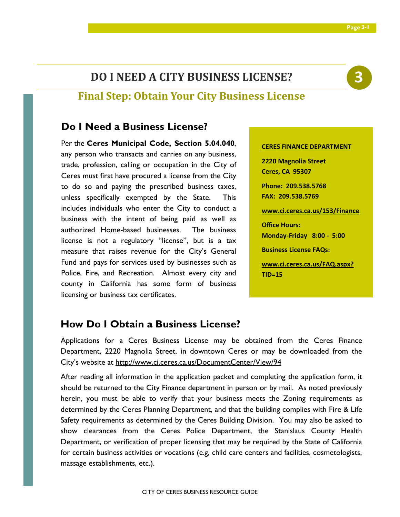### **DO I NEED A CITY BUSINESS LICENSE?**

### **Final Step: Obtain Your City Business License**

### **Do I Need a Business License?**

Per the **Ceres Municipal Code, Section 5.04.040**, any person who transacts and carries on any business, trade, profession, calling or occupation in the City of Ceres must first have procured a license from the City to do so and paying the prescribed business taxes, unless specifically exempted by the State. This includes individuals who enter the City to conduct a business with the intent of being paid as well as authorized Home-based businesses. The business license is not a regulatory "license", but is a tax measure that raises revenue for the City's General Fund and pays for services used by businesses such as Police, Fire, and Recreation. Almost every city and county in California has some form of business licensing or business tax certificates.

### **CERES FINANCE DEPARTMENT**

**2220 Magnolia Street Ceres, CA 95307 Phone: 209.538.5768 FAX: 209.538.5769 www.ci.ceres.ca.us/153/Finance Office Hours: Monday-Friday 8:00 - 5:00 Business License FAQs: www.ci.ceres.ca.us/FAQ.aspx?**

**TID=15** 

### **How Do I Obtain a Business License?**

Applications for a Ceres Business License may be obtained from the Ceres Finance Department, 2220 Magnolia Street, in downtown Ceres or may be downloaded from the City's website at http://www.ci.ceres.ca.us/DocumentCenter/View/94

After reading all information in the application packet and completing the application form, it should be returned to the City Finance department in person or by mail. As noted previously herein, you must be able to verify that your business meets the Zoning requirements as determined by the Ceres Planning Department, and that the building complies with Fire & Life Safety requirements as determined by the Ceres Building Division. You may also be asked to show clearances from the Ceres Police Department, the Stanislaus County Health Department, or verification of proper licensing that may be required by the State of California for certain business activities or vocations (e.g, child care centers and facilities, cosmetologists, massage establishments, etc.).

# **3**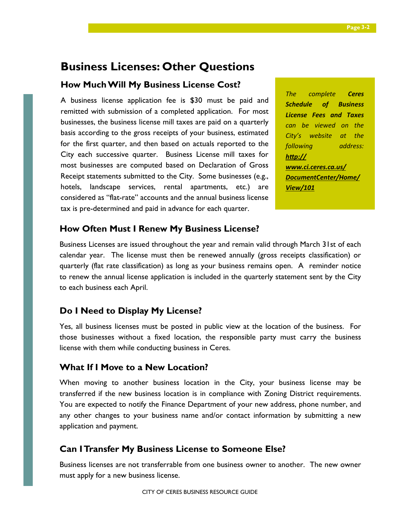### **Business Licenses: Other Questions**

### **How Much Will My Business License Cost?**

A business license application fee is \$30 must be paid and remitted with submission of a completed application. For most businesses, the business license mill taxes are paid on a quarterly basis according to the gross receipts of your business, estimated for the first quarter, and then based on actuals reported to the City each successive quarter. Business License mill taxes for most businesses are computed based on Declaration of Gross Receipt statements submitted to the City. Some businesses (e.g., hotels, landscape services, rental apartments, etc.) are considered as "flat-rate" accounts and the annual business license tax is pre-determined and paid in advance for each quarter.

*The complete Ceres Schedule of Business License Fees and Taxes can be viewed on the City's website at the following address: http:// www.ci.ceres.ca.us/ DocumentCenter/Home/ View/101*

### **How Often Must I Renew My Business License?**

Business Licenses are issued throughout the year and remain valid through March 31st of each calendar year. The license must then be renewed annually (gross receipts classification) or quarterly (flat rate classification) as long as your business remains open. A reminder notice to renew the annual license application is included in the quarterly statement sent by the City to each business each April.

### **Do I Need to Display My License?**

Yes, all business licenses must be posted in public view at the location of the business. For those businesses without a fixed location, the responsible party must carry the business license with them while conducting business in Ceres.

### **What If I Move to a New Location?**

When moving to another business location in the City, your business license may be transferred if the new business location is in compliance with Zoning District requirements. You are expected to notify the Finance Department of your new address, phone number, and any other changes to your business name and/or contact information by submitting a new application and payment.

### **Can I Transfer My Business License to Someone Else?**

Business licenses are not transferrable from one business owner to another. The new owner must apply for a new business license.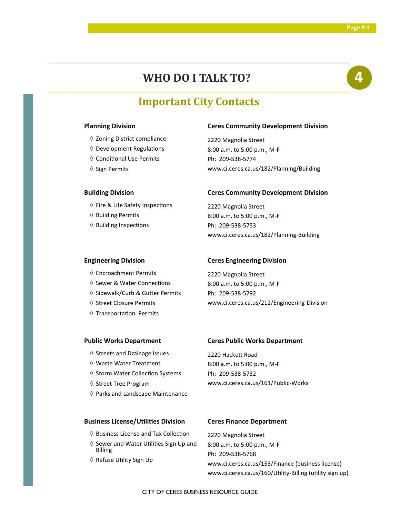### **WHO DO I TALK TO? 4**

### **Important City Contacts**

### **Planning Division**

- ◊ Zoning District compliance
- $\diamond$  Development Regulations
- ♦ Conditional Use Permits
- ◊ Sign Permits

### **Building Division**

- ♦ Fire & Life Safety Inspections
- ◊ Building Permits
- ♦ Building Inspections

#### **Ceres Community Development Division**

2220 Magnolia Street 8:00 a.m. to 5:00 p.m., M-F Ph: 209-538-5774 www.ci.ceres.ca.us/182/Planning/Building

#### **Ceres Community Development Division**

2220 Magnolia Street 8:00 a.m. to 5:00 p.m., M-F Ph: 209-538-5753 www.ci.ceres.ca.us/182/Planning-Building

#### **Engineering Division**

- ◊ Encroachment Permits
- ♦ Sewer & Water Connections
- ◊ Sidewalk/Curb & Gu7er Permits
- ◊ Street Closure Permits
- $\diamond$  Transportation Permits

#### **Ceres Engineering Division**

2220 Magnolia Street 8:00 a.m. to 5:00 p.m., M-F Ph: 209-538-5792 www.ci.ceres.ca.us/212/Engineering-Division

#### **Public Works Department**

- ◊ Streets and Drainage Issues
- ◊ Waste Water Treatment
- ♦ Storm Water Collection Systems
- ◊ Street Tree Program
- ◊ Parks and Landscape Maintenance

### **Ceres Public Works Department**

2220 Hackett Road 8:00 a.m. to 5:00 p.m., M-F

Ph: 209-538-5732 www.ci.ceres.ca.us/161/Public-Works

#### **Business License/Utilities Division**

- ♦ Business License and Tax Collection
- $\diamond$  Sewer and Water Utilities Sign Up and Billing
- ♦ Refuse Utility Sign Up

#### **Ceres Finance Department**

2220 Magnolia Street 8:00 a.m. to 5:00 p.m., M-F Ph: 209-538-5768 www.ci.ceres.ca.us/153/Finance (business license) www.ci.ceres.ca.us/160/Utility-Billing (utility sign up)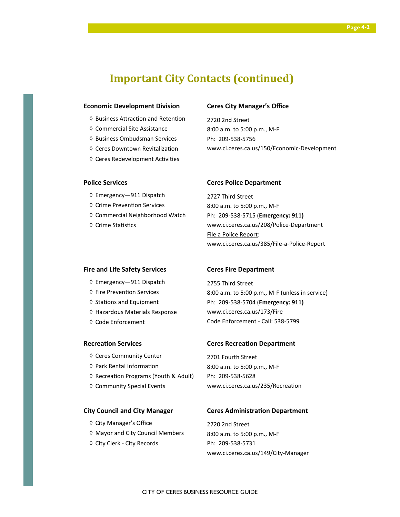### **Important City Contacts (continued)**

#### **Economic Development Division**

- $\diamond$  Business Attraction and Retention
- ◊ Commercial Site Assistance
- ◊ Business Ombudsman Services
- $\Diamond$  Ceres Downtown Revitalization
- $\diamond$  Ceres Redevelopment Activities

### **Ceres City Manager's Office**

2720 2nd Street 8:00 a.m. to 5:00 p.m., M-F Ph: 209-538-5756 www.ci.ceres.ca.us/150/Economic-Development

### **Police Services**

- ◊ Emergency—911 Dispatch
- ♦ Crime Prevention Services
- ◊ Commercial Neighborhood Watch
- ♦ Crime Statistics

#### **Ceres Police Department**

2727 Third Street 8:00 a.m. to 5:00 p.m., M-F Ph: 209-538-5715 (**Emergency: 911)** www.ci.ceres.ca.us/208/Police-Department File a Police Report: www.ci.ceres.ca.us/385/File-a-Police-Report

### **Fire and Life Safety Services**

- ◊ Emergency—911 Dispatch
- ♦ Fire Prevention Services
- $\diamond$  Stations and Equipment
- ◊ Hazardous Materials Response
- ◊ Code Enforcement

#### **Recreation Services**

- ◊ Ceres Community Center
- ♦ Park Rental Information
- ♦ Recreation Programs (Youth & Adult)
- ◊ Community Special Events

#### **City Council and City Manager**

- ◊ City Manager's Office
- ◊ Mayor and City Council Members
- ◊ City Clerk City Records

#### **Ceres Fire Department**

2755 Third Street 8:00 a.m. to 5:00 p.m., M-F (unless in service) Ph: 209-538-5704 (**Emergency: 911)** www.ci.ceres.ca.us/173/Fire Code Enforcement - Call: 538-5799

### **Ceres Recreation Department**

2701 Fourth Street 8:00 a.m. to 5:00 p.m., M-F Ph: 209-538-5628 www.ci.ceres.ca.us/235/Recreation

#### **Ceres Administration Department**

2720 2nd Street 8:00 a.m. to 5:00 p.m., M-F Ph: 209-538-5731 www.ci.ceres.ca.us/149/City-Manager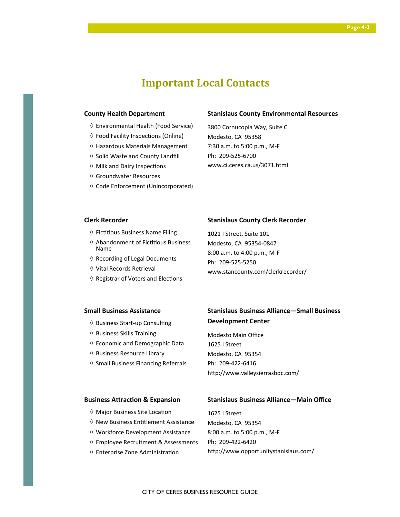### **Important Local Contacts**

#### **County Health Department**

- ◊ Environmental Health (Food Service)
- ♦ Food Facility Inspections (Online)
- ◊ Hazardous Materials Management
- ◊ Solid Waste and County Landfill
- $\diamond$  Milk and Dairy Inspections
- ◊ Groundwater Resources
- ◊ Code Enforcement (Unincorporated)

#### **Stanislaus County Environmental Resources**

3800 Cornucopia Way, Suite C Modesto, CA 95358 7:30 a.m. to 5:00 p.m., M-F Ph: 209-525-6700 www.ci.ceres.ca.us/3071.html

### **Clerk Recorder**

- $\diamond$  Fictitious Business Name Filing
- $\Diamond$  Abandonment of Fictitious Business Name
- ◊ Recording of Legal Documents
- ◊ Vital Records Retrieval
- $\diamond$  Registrar of Voters and Elections

#### **Stanislaus County Clerk Recorder**

1021 I Street, Suite 101 Modesto, CA 95354-0847 8:00 a.m. to 4:00 p.m., M-F Ph: 209-525-5250 www.stancounty.com/clerkrecorder/

### **Small Business Assistance**

- ♦ Business Start-up Consulting
- ◊ Business Skills Training
- ◊ Economic and Demographic Data
- ◊ Business Resource Library
- ◊ Small Business Financing Referrals

### **Stanislaus Business Alliance—Small Business Development Center**

Modesto Main Office 1625 I Street Modesto, CA 95354 Ph: 209-422-6416 http://www.valleysierrasbdc.com/

#### **Business Attraction & Expansion**

#### **Stanislaus Business Alliance—Main Office**

- ♦ Major Business Site Location
- ♦ New Business Entitlement Assistance
- ◊ Workforce Development Assistance
- ◊ Employee Recruitment & Assessments
- ♦ Enterprise Zone Administration

1625 I Street Modesto, CA 95354 8:00 a.m. to 5:00 p.m., M-F Ph: 209-422-6420 http://www.opportunitystanislaus.com/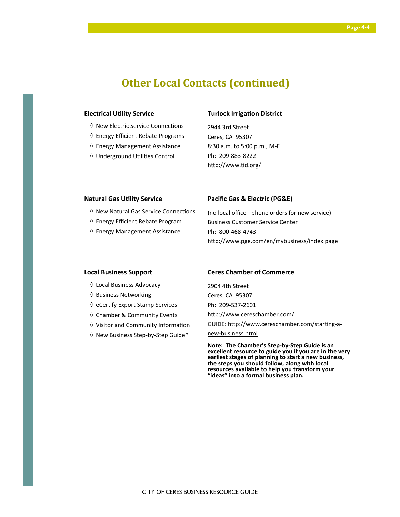### **Other Local Contacts (continued)**

#### **Electrical Utility Service**

- ♦ New Electric Service Connections
- ◊ Energy Efficient Rebate Programs
- ◊ Energy Management Assistance
- ♦ Underground Utilities Control

#### **Turlock Irrigation District**

2944 3rd Street Ceres, CA 95307 8:30 a.m. to 5:00 p.m., M-F Ph: 209-883-8222 http://www.tid.org/

#### **Natural Gas Utility Service**

- ♦ New Natural Gas Service Connections
- ◊ Energy Efficient Rebate Program
- ◊ Energy Management Assistance

#### **Pacific Gas & Electric (PG&E)**

(no local office - phone orders for new service) Business Customer Service Center Ph: 800-468-4743 http://www.pge.com/en/mybusiness/index.page

#### **Local Business Support**

- ◊ Local Business Advocacy
- ◊ Business Networking
- ◊ eCerfy Export Stamp Services
- ◊ Chamber & Community Events
- $\Diamond$  Visitor and Community Information
- ◊ New Business Step-by-Step Guide\*

#### **Ceres Chamber of Commerce**

2904 4th Street Ceres, CA 95307 Ph: 209-537-2601 http://www.cereschamber.com/ GUIDE: http://www.cereschamber.com/starting-anew-business.html

**Note: The Chamber's Step-by-Step Guide is an excellent resource to guide you if you are in the very earliest stages of planning to start a new business, the steps you should follow, along with local resources available to help you transform your "ideas" into a formal business plan.**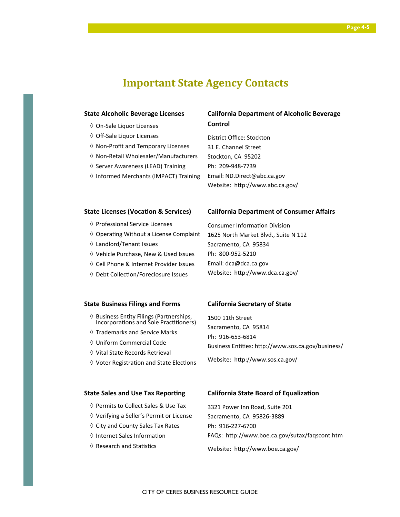### **Important State Agency Contacts**

#### **State Alcoholic Beverage Licenses**

- ◊ On-Sale Liquor Licenses
- ◊ Off-Sale Liquor Licenses
- ◊ Non-Profit and Temporary Licenses
- ◊ Non-Retail Wholesaler/Manufacturers
- ◊ Server Awareness (LEAD) Training
- ◊ Informed Merchants (IMPACT) Training

### **California Department of Alcoholic Beverage Control**

District Office: Stockton 31 E. Channel Street Stockton, CA 95202 Ph: 209-948-7739 Email: ND.Direct@abc.ca.gov Website: http://www.abc.ca.gov/

#### **State Licenses (Vocation & Services)**

- ◊ Professional Service Licenses
- ♦ Operating Without a License Complaint
- ◊ Landlord/Tenant Issues
- ◊ Vehicle Purchase, New & Used Issues
- ◊ Cell Phone & Internet Provider Issues
- ♦ Debt Collection/Foreclosure Issues

#### **State Business Filings and Forms**

- ◊ Business Enty Filings (Partnerships, Incorporations and Sole Practitioners)
- ◊ Trademarks and Service Marks
- ◊ Uniform Commercial Code
- ◊ Vital State Records Retrieval
- $\diamond$  Voter Registration and State Elections

#### **State Sales and Use Tax Reporting**

- ◊ Permits to Collect Sales & Use Tax
- ◊ Verifying a Seller's Permit or License
- ◊ City and County Sales Tax Rates
- ♦ Internet Sales Information
- $\diamond$  Research and Statistics

### 1625 North Market Blvd., Suite N 112 Sacramento, CA 95834

**California Department of Consumer Affairs** 

Ph: 800-952-5210 Email: dca@dca.ca.gov Website: http://www.dca.ca.gov/

Consumer Information Division

#### **California Secretary of State**

1500 11th Street Sacramento, CA 95814 Ph: 916-653-6814 Business Entities: http://www.sos.ca.gov/business/ Website: http://www.sos.ca.gov/

### **California State Board of Equalization**

3321 Power Inn Road, Suite 201 Sacramento, CA 95826-3889 Ph: 916-227-6700 FAQs: http://www.boe.ca.gov/sutax/faqscont.htm Website: http://www.boe.ca.gov/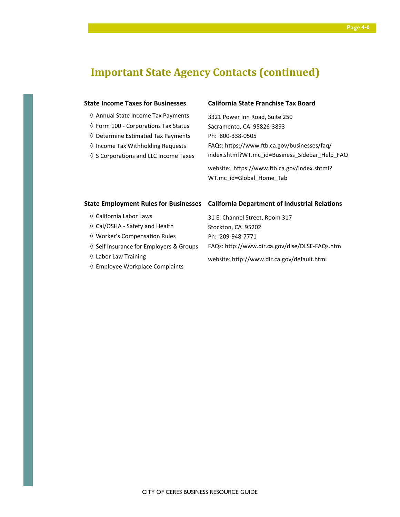### **Important State Agency Contacts (continued)**

### **State Income Taxes for Businesses**

- ◊ Annual State Income Tax Payments
- $\diamond$  Form 100 Corporations Tax Status
- $\diamond$  Determine Estimated Tax Payments
- ◊ Income Tax Withholding Requests
- $\diamond$  S Corporations and LLC Income Taxes

### **California State Franchise Tax Board**

3321 Power Inn Road, Suite 250 Sacramento, CA 95826-3893 Ph: 800-338-0505 FAQs: https://www.ftb.ca.gov/businesses/faq/ index.shtml?WT.mc\_id=Business\_Sidebar\_Help\_FAQ

website: https://www.ftb.ca.gov/index.shtml? WT.mc\_id=Global\_Home\_Tab

- ◊ California Labor Laws
- ◊ Cal/OSHA Safety and Health
- ♦ Worker's Compensation Rules
- ◊ Self Insurance for Employers & Groups
- ◊ Labor Law Training
- ◊ Employee Workplace Complaints

### **State Employment Rules for Businesses** California Department of Industrial Relations

31 E. Channel Street, Room 317 Stockton, CA 95202 Ph: 209-948-7771 FAQs: http://www.dir.ca.gov/dlse/DLSE-FAQs.htm

website: http://www.dir.ca.gov/default.html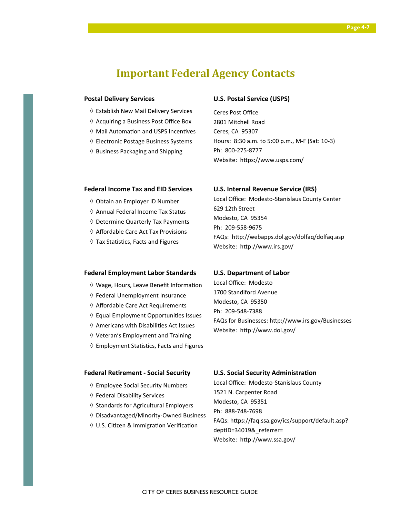### **Important Federal Agency Contacts**

### **Postal Delivery Services**

- ◊ Establish New Mail Delivery Services
- ◊ Acquiring a Business Post Office Box
- ♦ Mail Automation and USPS Incentives
- ◊ Electronic Postage Business Systems
- ◊ Business Packaging and Shipping

### **U.S. Postal Service (USPS)**

Ceres Post Office 2801 Mitchell Road Ceres, CA 95307 Hours: 8:30 a.m. to 5:00 p.m., M-F (Sat: 10-3) Ph: 800-275-8777 Website: https://www.usps.com/

#### **Federal Income Tax and EID Services**

- ◊ Obtain an Employer ID Number
- ◊ Annual Federal Income Tax Status
- ◊ Determine Quarterly Tax Payments
- ◊ Affordable Care Act Tax Provisions
- $\diamond$  Tax Statistics, Facts and Figures

### **U.S. Internal Revenue Service (IRS)**

Local Office: Modesto-Stanislaus County Center 629 12th Street Modesto, CA 95354 Ph: 209-558-9675 FAQs: http://webapps.dol.gov/dolfaq/dolfaq.asp Website: http://www.irs.gov/

### **Federal Employment Labor Standards**

- $\Diamond$  Wage, Hours, Leave Benefit Information
- ◊ Federal Unemployment Insurance
- ◊ Affordable Care Act Requirements
- ◊ Equal Employment Opportunies Issues
- ◊ Americans with Disabilies Act Issues
- ◊ Veteran's Employment and Training
- $\diamond$  Employment Statistics, Facts and Figures

### 1700 Standiford Avenue

**U.S. Department of Labor**  Local Office: Modesto

Modesto, CA 95350 Ph: 209-548-7388 FAQs for Businesses: http://www.irs.gov/Businesses Website: http://www.dol.gov/

### **Federal Retirement - Social Security**

- ◊ Employee Social Security Numbers
- ◊ Federal Disability Services
- ◊ Standards for Agricultural Employers
- ◊ Disadvantaged/Minority-Owned Business
- ◊ U.S. Citizen & Immigration Verification

#### **U.S. Social Security Administration**

Local Office: Modesto-Stanislaus County 1521 N. Carpenter Road Modesto, CA 95351 Ph: 888-748-7698 FAQs: https://faq.ssa.gov/ics/support/default.asp? deptID=34019&\_referrer= Website: http://www.ssa.gov/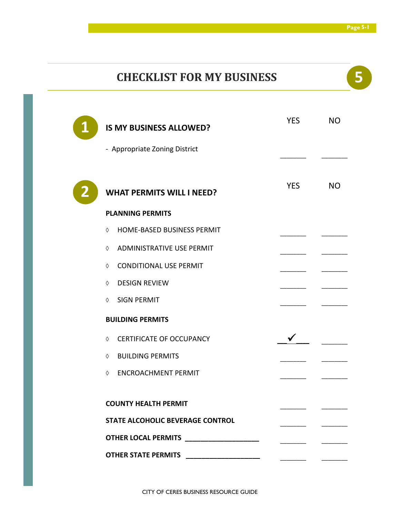### **CHECKLIST FOR MY BUSINESS 5**

| <b>IS MY BUSINESS ALLOWED?</b><br>- Appropriate Zoning District      | <b>YES</b> | <b>NO</b> |
|----------------------------------------------------------------------|------------|-----------|
| <b>WHAT PERMITS WILL I NEED?</b>                                     | <b>YES</b> | <b>NO</b> |
| <b>PLANNING PERMITS</b>                                              |            |           |
| HOME-BASED BUSINESS PERMIT<br>♦                                      |            |           |
| ADMINISTRATIVE USE PERMIT<br>♦                                       |            |           |
| <b>CONDITIONAL USE PERMIT</b><br>♦                                   |            |           |
| <b>DESIGN REVIEW</b><br>♦                                            |            |           |
| <b>SIGN PERMIT</b><br>♦                                              |            |           |
| <b>BUILDING PERMITS</b>                                              |            |           |
| <b>CERTIFICATE OF OCCUPANCY</b><br>♦                                 |            |           |
| <b>BUILDING PERMITS</b><br>♦                                         |            |           |
| <b>ENCROACHMENT PERMIT</b><br>♦                                      |            |           |
| <b>COUNTY HEALTH PERMIT</b>                                          |            |           |
| <b>STATE ALCOHOLIC BEVERAGE CONTROL</b>                              |            |           |
| <b>OTHER LOCAL PERMITS</b><br><u> 1980 - Jan Barbara Barbara, ma</u> |            |           |
| <b>OTHER STATE PERMITS</b>                                           |            |           |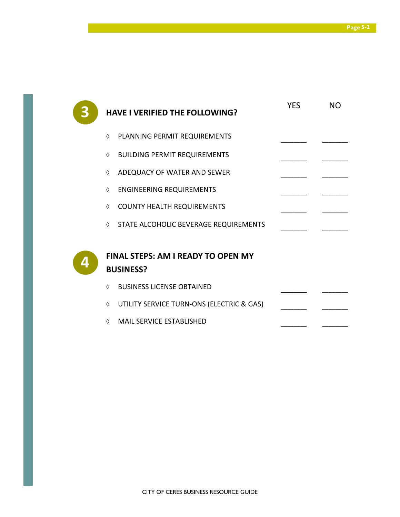| <b>HAVE I VERIFIED THE FOLLOWING?</b>                         | <b>YES</b> | <b>NO</b> |
|---------------------------------------------------------------|------------|-----------|
| PLANNING PERMIT REQUIREMENTS<br>$\Diamond$                    |            |           |
| <b>BUILDING PERMIT REQUIREMENTS</b><br>♦                      |            |           |
| ADEQUACY OF WATER AND SEWER<br>$\Diamond$                     |            |           |
| <b>ENGINEERING REQUIREMENTS</b><br>♦                          |            |           |
| <b>COUNTY HEALTH REQUIREMENTS</b><br>♦                        |            |           |
| ♦ STATE ALCOHOLIC BEVERAGE REQUIREMENTS                       |            |           |
| <b>FINAL STEPS: AM I READY TO OPEN MY</b><br><b>BUSINESS?</b> |            |           |
| <b>BUSINESS LICENSE OBTAINED</b><br>$\Diamond$                |            |           |
| UTILITY SERVICE TURN-ONS (ELECTRIC & GAS)<br>♦                |            |           |
| <b>MAIL SERVICE ESTABLISHED</b><br>♦                          |            |           |